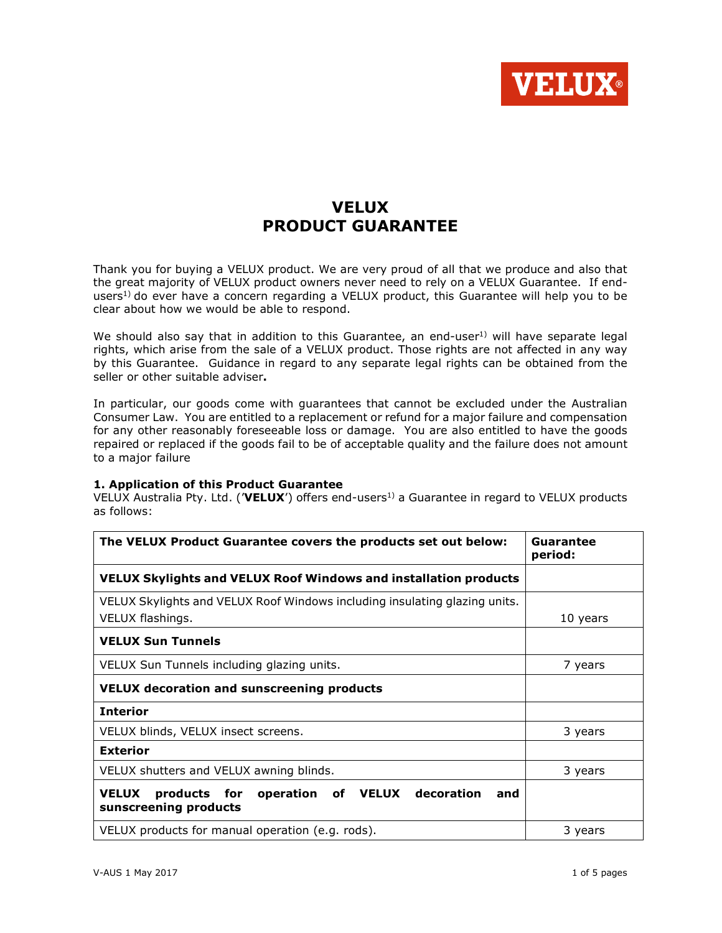

# **VELUX** PRODUCT GUARANTEE

Thank you for buying a VELUX product. We are very proud of all that we produce and also that the great majority of VELUX product owners never need to rely on a VELUX Guarantee. If endusers<sup>1)</sup> do ever have a concern regarding a VELUX product, this Guarantee will help you to be clear about how we would be able to respond.

We should also say that in addition to this Guarantee, an end-user<sup>1)</sup> will have separate legal rights, which arise from the sale of a VELUX product. Those rights are not affected in any way by this Guarantee. Guidance in regard to any separate legal rights can be obtained from the seller or other suitable adviser.

In particular, our goods come with guarantees that cannot be excluded under the Australian Consumer Law. You are entitled to a replacement or refund for a major failure and compensation for any other reasonably foreseeable loss or damage. You are also entitled to have the goods repaired or replaced if the goods fail to be of acceptable quality and the failure does not amount to a major failure

# 1. Application of this Product Guarantee

VELUX Australia Pty. Ltd. (**VELUX**') offers end-users<sup>1)</sup> a Guarantee in regard to VELUX products as follows:

| The VELUX Product Guarantee covers the products set out below:                                   | Guarantee<br>period: |
|--------------------------------------------------------------------------------------------------|----------------------|
| VELUX Skylights and VELUX Roof Windows and installation products                                 |                      |
| VELUX Skylights and VELUX Roof Windows including insulating glazing units.                       |                      |
| VELUX flashings.                                                                                 | 10 years             |
| <b>VELUX Sun Tunnels</b>                                                                         |                      |
| VELUX Sun Tunnels including glazing units.                                                       | 7 years              |
| <b>VELUX decoration and sunscreening products</b>                                                |                      |
| <b>Interior</b>                                                                                  |                      |
| VELUX blinds, VELUX insect screens.                                                              | 3 years              |
| <b>Exterior</b>                                                                                  |                      |
| VELUX shutters and VELUX awning blinds.                                                          | 3 years              |
| <b>VELUX</b><br>decoration<br>products for<br>operation of VELUX<br>and<br>sunscreening products |                      |
| VELUX products for manual operation (e.g. rods).                                                 | 3 years              |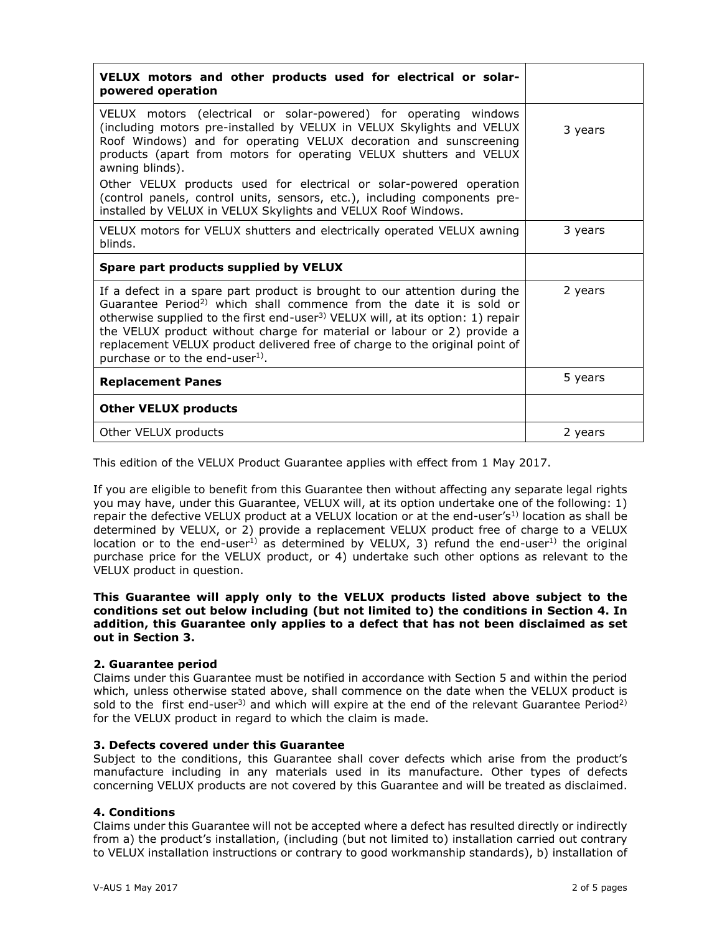| VELUX motors and other products used for electrical or solar-<br>powered operation                                                                                                                                                                                                                                                                                                                                                                                    |         |
|-----------------------------------------------------------------------------------------------------------------------------------------------------------------------------------------------------------------------------------------------------------------------------------------------------------------------------------------------------------------------------------------------------------------------------------------------------------------------|---------|
| VELUX motors (electrical or solar-powered) for operating windows<br>(including motors pre-installed by VELUX in VELUX Skylights and VELUX<br>Roof Windows) and for operating VELUX decoration and sunscreening<br>products (apart from motors for operating VELUX shutters and VELUX<br>awning blinds).                                                                                                                                                               | 3 years |
| Other VELUX products used for electrical or solar-powered operation<br>(control panels, control units, sensors, etc.), including components pre-<br>installed by VELUX in VELUX Skylights and VELUX Roof Windows.                                                                                                                                                                                                                                                     |         |
| VELUX motors for VELUX shutters and electrically operated VELUX awning<br>blinds.                                                                                                                                                                                                                                                                                                                                                                                     | 3 years |
| Spare part products supplied by VELUX                                                                                                                                                                                                                                                                                                                                                                                                                                 |         |
| If a defect in a spare part product is brought to our attention during the<br>Guarantee Period <sup>2)</sup> which shall commence from the date it is sold or<br>otherwise supplied to the first end-user <sup>3)</sup> VELUX will, at its option: 1) repair<br>the VELUX product without charge for material or labour or 2) provide a<br>replacement VELUX product delivered free of charge to the original point of<br>purchase or to the end-user <sup>1)</sup> . | 2 years |
| <b>Replacement Panes</b>                                                                                                                                                                                                                                                                                                                                                                                                                                              | 5 years |
| <b>Other VELUX products</b>                                                                                                                                                                                                                                                                                                                                                                                                                                           |         |
| Other VELUX products                                                                                                                                                                                                                                                                                                                                                                                                                                                  | 2 years |

This edition of the VELUX Product Guarantee applies with effect from 1 May 2017.

If you are eligible to benefit from this Guarantee then without affecting any separate legal rights you may have, under this Guarantee, VELUX will, at its option undertake one of the following: 1) repair the defective VELUX product at a VELUX location or at the end-user's<sup>1)</sup> location as shall be determined by VELUX, or 2) provide a replacement VELUX product free of charge to a VELUX location or to the end-user<sup>1)</sup> as determined by VELUX, 3) refund the end-user<sup>1)</sup> the original purchase price for the VELUX product, or 4) undertake such other options as relevant to the VELUX product in question.

# This Guarantee will apply only to the VELUX products listed above subject to the conditions set out below including (but not limited to) the conditions in Section 4. In addition, this Guarantee only applies to a defect that has not been disclaimed as set out in Section 3.

# 2. Guarantee period

Claims under this Guarantee must be notified in accordance with Section 5 and within the period which, unless otherwise stated above, shall commence on the date when the VELUX product is sold to the first end-user<sup>3)</sup> and which will expire at the end of the relevant Guarantee Period<sup>2)</sup> for the VELUX product in regard to which the claim is made.

# 3. Defects covered under this Guarantee

Subject to the conditions, this Guarantee shall cover defects which arise from the product's manufacture including in any materials used in its manufacture. Other types of defects concerning VELUX products are not covered by this Guarantee and will be treated as disclaimed.

# 4. Conditions

Claims under this Guarantee will not be accepted where a defect has resulted directly or indirectly from a) the product's installation, (including (but not limited to) installation carried out contrary to VELUX installation instructions or contrary to good workmanship standards), b) installation of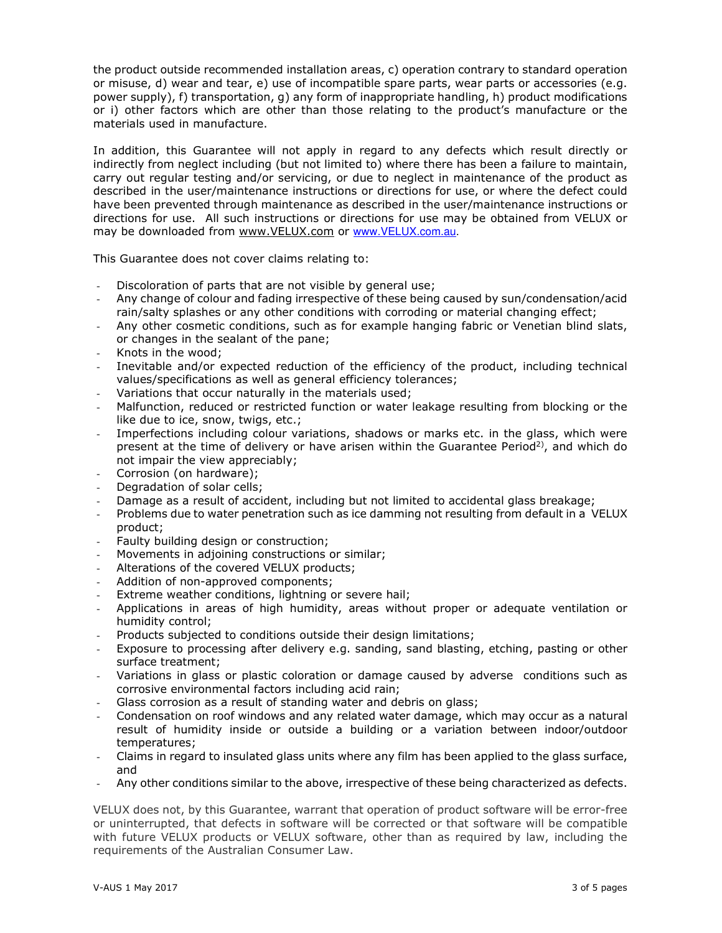the product outside recommended installation areas, c) operation contrary to standard operation or misuse, d) wear and tear, e) use of incompatible spare parts, wear parts or accessories (e.g. power supply), f) transportation, g) any form of inappropriate handling, h) product modifications or i) other factors which are other than those relating to the product's manufacture or the materials used in manufacture.

In addition, this Guarantee will not apply in regard to any defects which result directly or indirectly from neglect including (but not limited to) where there has been a failure to maintain, carry out regular testing and/or servicing, or due to neglect in maintenance of the product as described in the user/maintenance instructions or directions for use, or where the defect could have been prevented through maintenance as described in the user/maintenance instructions or directions for use. All such instructions or directions for use may be obtained from VELUX or may be downloaded from www.VELUX.com or www.VELUX.com.au.

This Guarantee does not cover claims relating to:

- Discoloration of parts that are not visible by general use;
- Any change of colour and fading irrespective of these being caused by sun/condensation/acid rain/salty splashes or any other conditions with corroding or material changing effect;
- Any other cosmetic conditions, such as for example hanging fabric or Venetian blind slats, or changes in the sealant of the pane;
- Knots in the wood;
- Inevitable and/or expected reduction of the efficiency of the product, including technical values/specifications as well as general efficiency tolerances;
- Variations that occur naturally in the materials used;
- Malfunction, reduced or restricted function or water leakage resulting from blocking or the like due to ice, snow, twigs, etc.;
- Imperfections including colour variations, shadows or marks etc. in the glass, which were present at the time of delivery or have arisen within the Guarantee Period<sup>2</sup>), and which do not impair the view appreciably;
- Corrosion (on hardware);
- Degradation of solar cells;
- Damage as a result of accident, including but not limited to accidental glass breakage;
- Problems due to water penetration such as ice damming not resulting from default in a VELUX product;
- Faulty building design or construction;
- Movements in adjoining constructions or similar;
- Alterations of the covered VELUX products;
- Addition of non-approved components;
- Extreme weather conditions, lightning or severe hail;
- Applications in areas of high humidity, areas without proper or adequate ventilation or humidity control;
- Products subjected to conditions outside their design limitations;
- Exposure to processing after delivery e.g. sanding, sand blasting, etching, pasting or other surface treatment;
- Variations in glass or plastic coloration or damage caused by adverse conditions such as corrosive environmental factors including acid rain;
- Glass corrosion as a result of standing water and debris on glass;
- Condensation on roof windows and any related water damage, which may occur as a natural result of humidity inside or outside a building or a variation between indoor/outdoor temperatures;
- Claims in regard to insulated glass units where any film has been applied to the glass surface, and
- Any other conditions similar to the above, irrespective of these being characterized as defects.

VELUX does not, by this Guarantee, warrant that operation of product software will be error-free or uninterrupted, that defects in software will be corrected or that software will be compatible with future VELUX products or VELUX software, other than as required by law, including the requirements of the Australian Consumer Law.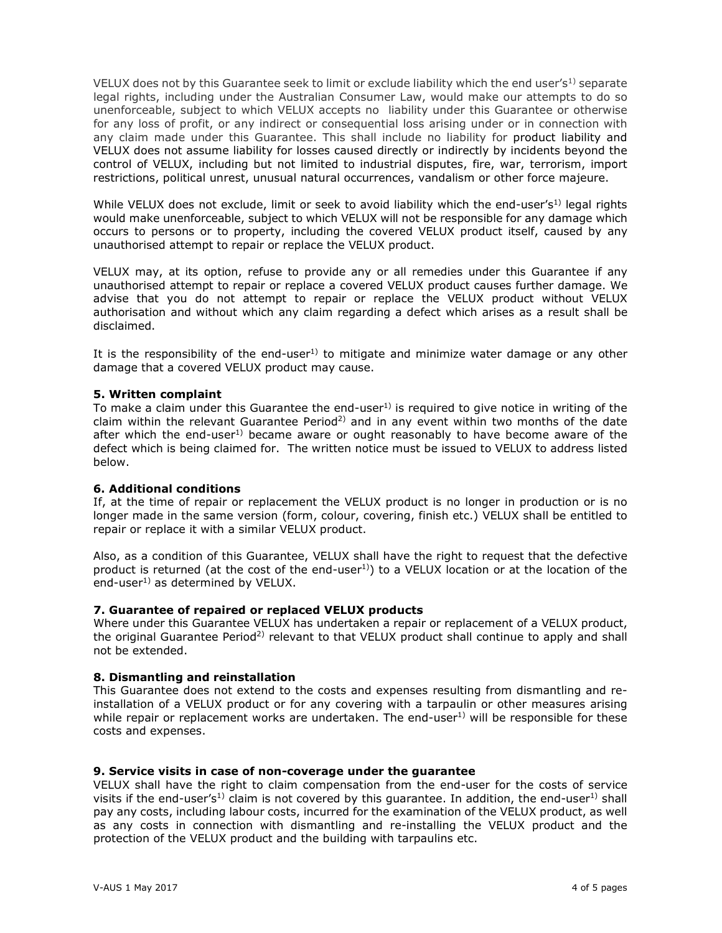VELUX does not by this Guarantee seek to limit or exclude liability which the end user's<sup>1)</sup> separate legal rights, including under the Australian Consumer Law, would make our attempts to do so unenforceable, subject to which VELUX accepts no liability under this Guarantee or otherwise for any loss of profit, or any indirect or consequential loss arising under or in connection with any claim made under this Guarantee. This shall include no liability for product liability and VELUX does not assume liability for losses caused directly or indirectly by incidents beyond the control of VELUX, including but not limited to industrial disputes, fire, war, terrorism, import restrictions, political unrest, unusual natural occurrences, vandalism or other force majeure.

While VELUX does not exclude, limit or seek to avoid liability which the end-user's<sup>1)</sup> legal rights would make unenforceable, subject to which VELUX will not be responsible for any damage which occurs to persons or to property, including the covered VELUX product itself, caused by any unauthorised attempt to repair or replace the VELUX product.

VELUX may, at its option, refuse to provide any or all remedies under this Guarantee if any unauthorised attempt to repair or replace a covered VELUX product causes further damage. We advise that you do not attempt to repair or replace the VELUX product without VELUX authorisation and without which any claim regarding a defect which arises as a result shall be disclaimed.

It is the responsibility of the end-user<sup>1)</sup> to mitigate and minimize water damage or any other damage that a covered VELUX product may cause.

#### 5. Written complaint

To make a claim under this Guarantee the end-user<sup>1)</sup> is required to give notice in writing of the claim within the relevant Guarantee Period<sup>2)</sup> and in any event within two months of the date after which the end-user<sup>1)</sup> became aware or ought reasonably to have become aware of the defect which is being claimed for. The written notice must be issued to VELUX to address listed below.

# 6. Additional conditions

If, at the time of repair or replacement the VELUX product is no longer in production or is no longer made in the same version (form, colour, covering, finish etc.) VELUX shall be entitled to repair or replace it with a similar VELUX product.

Also, as a condition of this Guarantee, VELUX shall have the right to request that the defective product is returned (at the cost of the end-user<sup>1)</sup>) to a VELUX location or at the location of the end-user $1$ ) as determined by VELUX.

# 7. Guarantee of repaired or replaced VELUX products

Where under this Guarantee VELUX has undertaken a repair or replacement of a VELUX product, the original Guarantee Period<sup>2)</sup> relevant to that VELUX product shall continue to apply and shall not be extended.

# 8. Dismantling and reinstallation

This Guarantee does not extend to the costs and expenses resulting from dismantling and reinstallation of a VELUX product or for any covering with a tarpaulin or other measures arising while repair or replacement works are undertaken. The end-user<sup>1)</sup> will be responsible for these costs and expenses.

#### 9. Service visits in case of non-coverage under the guarantee

VELUX shall have the right to claim compensation from the end-user for the costs of service visits if the end-user's<sup>1)</sup> claim is not covered by this quarantee. In addition, the end-user<sup>1)</sup> shall pay any costs, including labour costs, incurred for the examination of the VELUX product, as well as any costs in connection with dismantling and re-installing the VELUX product and the protection of the VELUX product and the building with tarpaulins etc.